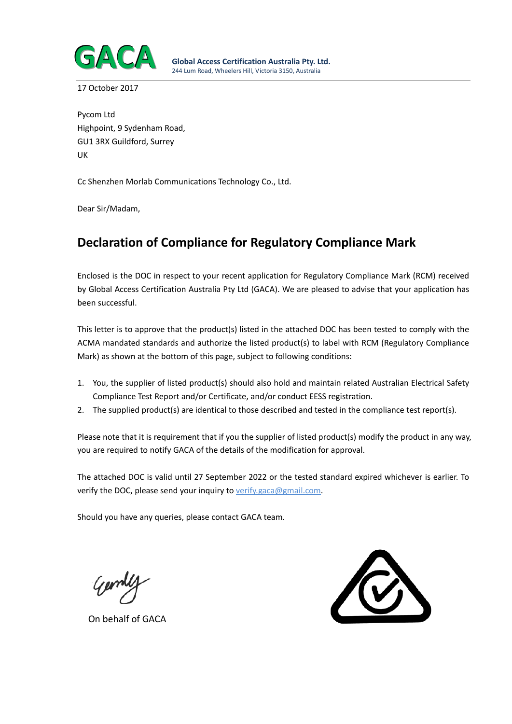

17 October 2017

Pycom Ltd Highpoint, 9 Sydenham Road, GU1 3RX Guildford, Surrey UK

Cc Shenzhen Morlab Communications Technology Co., Ltd.

Dear Sir/Madam,

# **Declaration of Compliance for Regulatory Compliance Mark**

Enclosed is the DOC in respect to your recent application for Regulatory Compliance Mark (RCM) received by Global Access Certification Australia Pty Ltd (GACA). We are pleased to advise that your application has been successful.

This letter is to approve that the product(s) listed in the attached DOC has been tested to comply with the ACMA mandated standards and authorize the listed product(s) to label with RCM (Regulatory Compliance Mark) as shown at the bottom of this page, subject to following conditions:

- 1. You, the supplier of listed product(s) should also hold and maintain related Australian Electrical Safety Compliance Test Report and/or Certificate, and/or conduct EESS registration.
- 2. The supplied product(s) are identical to those described and tested in the compliance test report(s).

Please note that it is requirement that if you the supplier of listed product(s) modify the product in any way, you are required to notify GACA of the details of the modification for approval.

The attached DOC is valid until 27 September 2022 or the tested standard expired whichever is earlier. To verify the DOC, please send your inquiry to verify.gaca@gmail.com.

Should you have any queries, please contact GACA team.

German

On behalf of GACA

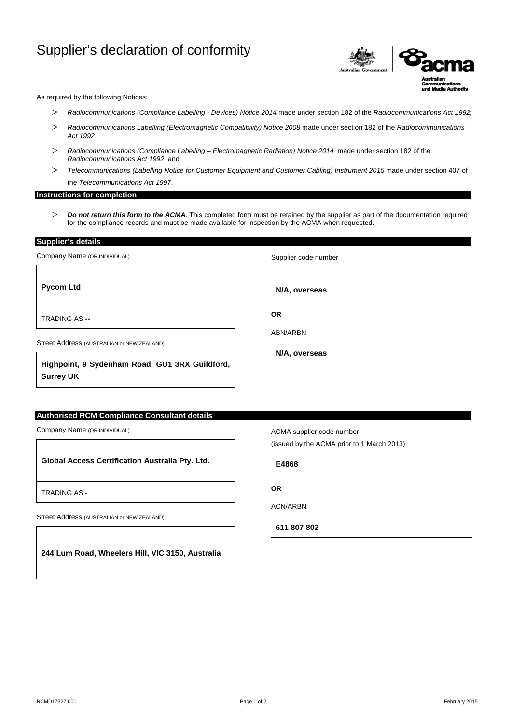## Supplier's declaration of conformity



As required by the following Notices:

- > *Radiocommunications (Compliance Labelling - Devices) Notice 2014* made under section 182 of the *Radiocommunications Act 1992*;
- > *Radiocommunications Labelling (Electromagnetic Compatibility) Notice 2008* made under section 182 of the *Radiocommunications Act 1992*
- > *Radiocommunications (Compliance Labelling – Electromagnetic Radiation) Notice 2014* made under section 182 of the *Radiocommunications Act 1992* and
- > *Telecommunications (Labelling Notice for Customer Equipment and Customer Cabling) Instrument 2015* made under section 407 of the *Telecommunications Act 1997*.

#### **Instructions for completion**

> *Do not return this form to the ACMA*. This completed form must be retained by the supplier as part of the documentation required for the compliance records and must be made available for inspection by the ACMA when requested.

**Supplier's details** 

Company Name (OR INDIVIDUAL)

**Pycom Ltd**

TRADING AS **--**

Street Address (AUSTRALIAN or NEW ZEALAND)

**Highpoint, 9 Sydenham Road, GU1 3RX Guildford, Surrey UK**

## **Authorised RCM Compliance Consultant details**

Company Name (OR INDIVIDUAL)

**Global Access Certification Australia Pty. Ltd.**

TRADING AS -

Street Address (AUSTRALIAN or NEW ZEALAND)

**244 Lum Road, Wheelers Hill, VIC 3150, Australia**

Supplier code number

**N/A, overseas**

**OR**

ABN/ARBN

**N/A, overseas**

ACMA supplier code number

(issued by the ACMA prior to 1 March 2013)

**E4868**

### **OR**

ACN/ARBN

**611 807 802**